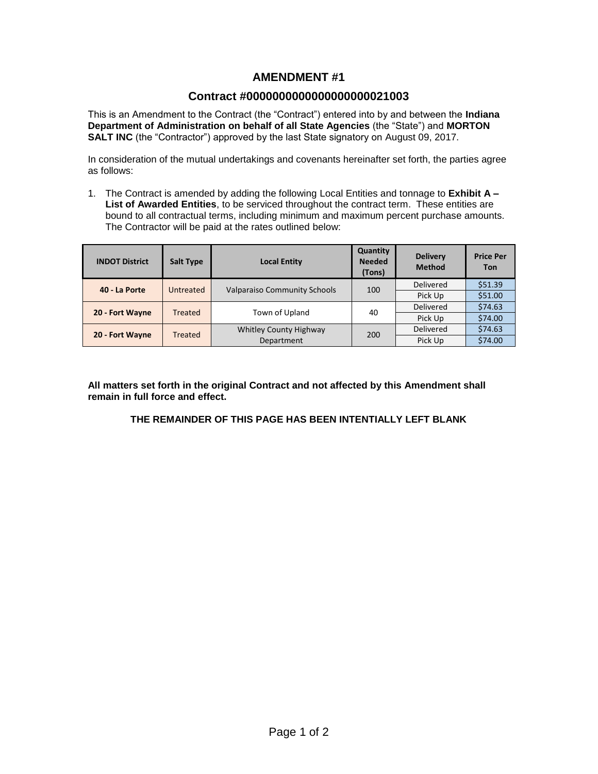# **AMENDMENT #1**

# **Contract #0000000000000000000021003**

This is an Amendment to the Contract (the "Contract") entered into by and between the **Indiana Department of Administration on behalf of all State Agencies** (the "State") and **MORTON SALT INC** (the "Contractor") approved by the last State signatory on August 09, 2017.

In consideration of the mutual undertakings and covenants hereinafter set forth, the parties agree as follows:

1. The Contract is amended by adding the following Local Entities and tonnage to **Exhibit A – List of Awarded Entities**, to be serviced throughout the contract term. These entities are bound to all contractual terms, including minimum and maximum percent purchase amounts. The Contractor will be paid at the rates outlined below:

| <b>INDOT District</b> | <b>Salt Type</b>                                        | <b>Local Entity</b>           | <b>Quantity</b><br><b>Needed</b><br>(Tons) | <b>Delivery</b><br><b>Method</b> | <b>Price Per</b><br><b>Ton</b> |
|-----------------------|---------------------------------------------------------|-------------------------------|--------------------------------------------|----------------------------------|--------------------------------|
| 40 - La Porte         | <b>Valparaiso Community Schools</b><br>100<br>Untreated |                               | <b>Delivered</b>                           | \$51.39                          |                                |
|                       |                                                         |                               |                                            | Pick Up                          | \$51.00                        |
| 20 - Fort Wayne       | Treated                                                 | Town of Upland                | 40                                         | Delivered                        | \$74.63                        |
|                       |                                                         |                               |                                            | Pick Up                          | \$74.00                        |
| 20 - Fort Wayne       | <b>Treated</b>                                          | <b>Whitley County Highway</b> | 200                                        | <b>Delivered</b>                 | \$74.63                        |
|                       |                                                         | Department                    |                                            | Pick Up                          | \$74.00                        |

**All matters set forth in the original Contract and not affected by this Amendment shall remain in full force and effect.**

# **THE REMAINDER OF THIS PAGE HAS BEEN INTENTIALLY LEFT BLANK**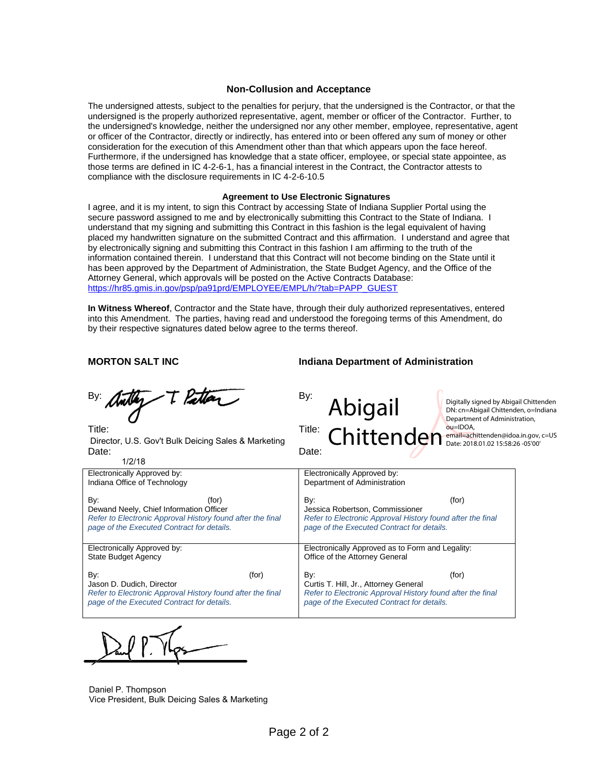## **Non-Collusion and Acceptance**

The undersigned attests, subject to the penalties for perjury, that the undersigned is the Contractor, or that the undersigned is the properly authorized representative, agent, member or officer of the Contractor. Further, to the undersigned's knowledge, neither the undersigned nor any other member, employee, representative, agent or officer of the Contractor, directly or indirectly, has entered into or been offered any sum of money or other consideration for the execution of this Amendment other than that which appears upon the face hereof. Furthermore, if the undersigned has knowledge that a state officer, employee, or special state appointee, as those terms are defined in IC 4-2-6-1, has a financial interest in the Contract, the Contractor attests to compliance with the disclosure requirements in IC 4-2-6-10.5

#### **Agreement to Use Electronic Signatures**

I agree, and it is my intent, to sign this Contract by accessing State of Indiana Supplier Portal using the secure password assigned to me and by electronically submitting this Contract to the State of Indiana. I understand that my signing and submitting this Contract in this fashion is the legal equivalent of having placed my handwritten signature on the submitted Contract and this affirmation. I understand and agree that by electronically signing and submitting this Contract in this fashion I am affirming to the truth of the information contained therein. I understand that this Contract will not become binding on the State until it has been approved by the Department of Administration, the State Budget Agency, and the Office of the Attorney General, which approvals will be posted on the Active Contracts Database: [https://hr85.gmis.in.gov/psp/pa91prd/EMPLOYEE/EMPL/h/?tab=PAPP\\_GUEST](https://hr85.gmis.in.gov/psp/pa91prd/EMPLOYEE/EMPL/h/?tab=PAPP_GUEST)

**In Witness Whereof**, Contractor and the State have, through their duly authorized representatives, entered into this Amendment. The parties, having read and understood the foregoing terms of this Amendment, do by their respective signatures dated below agree to the terms thereof.

By:  $\Delta \mathbb{Z}$   $\mathbb{Z}$   $\mathbb{Z}$   $\mathbb{Z}$   $\mathbb{Z}$   $\mathbb{Z}$   $\mathbb{Z}$   $\mathbb{Z}$   $\mathbb{Z}$   $\mathbb{Z}$   $\mathbb{Z}$   $\mathbb{Z}$   $\mathbb{Z}$   $\mathbb{Z}$   $\mathbb{Z}$   $\mathbb{Z}$   $\mathbb{Z}$   $\mathbb{Z}$   $\mathbb{Z}$   $\mathbb{Z}$   $\mathbb{Z}$   $\mathbb{Z}$   $\mathbb{Z}$   $\mathbb{Z}$ 

Title: Title: Date: **Date:** Date: **Date: Date: Date: Date:** Director, U.S. Gov't Bulk Deicing Sales & Marketing

#### 1/2/18

## **MORTON SALT INC Indiana Department of Administration**

Abigail Chittender Digitally signed by Abigail Chittenden DN: cn=Abigail Chittenden, o=Indiana Department of Administration, ou=IDOA, email=achittenden@idoa.in.gov, c=US Date: 2018.01.02 15:58:26 -05'00'

| Electronically Approved by:                                |  |  |
|------------------------------------------------------------|--|--|
| Department of Administration                               |  |  |
|                                                            |  |  |
| By:<br>(for)                                               |  |  |
| Jessica Robertson, Commissioner                            |  |  |
| Refer to Electronic Approval History found after the final |  |  |
| page of the Executed Contract for details.                 |  |  |
|                                                            |  |  |
|                                                            |  |  |
| Electronically Approved as to Form and Legality:           |  |  |
| Office of the Attorney General                             |  |  |
|                                                            |  |  |
| By:<br>(for)                                               |  |  |
| Curtis T. Hill, Jr., Attorney General                      |  |  |
| Refer to Electronic Approval History found after the final |  |  |
| page of the Executed Contract for details.                 |  |  |
|                                                            |  |  |
|                                                            |  |  |

Daniel P. Thompson Vice President, Bulk Deicing Sales & Marketing